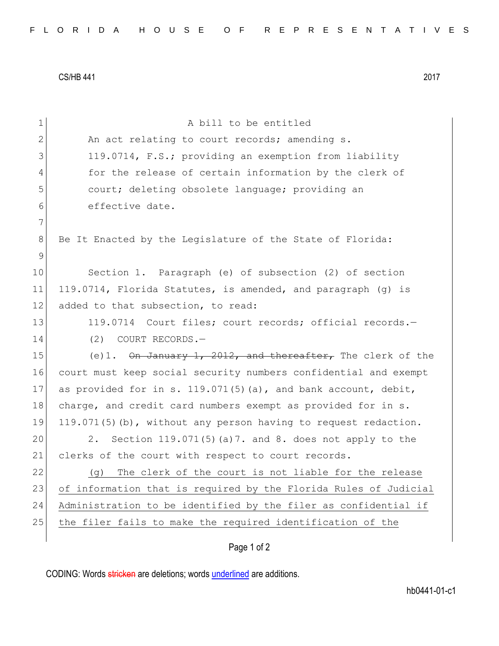CS/HB 441 2017

| $\mathbf 1$   | A bill to be entitled                                            |  |  |  |  |  |  |  |  |
|---------------|------------------------------------------------------------------|--|--|--|--|--|--|--|--|
| $\mathbf{2}$  | An act relating to court records; amending s.                    |  |  |  |  |  |  |  |  |
| 3             | 119.0714, F.S.; providing an exemption from liability            |  |  |  |  |  |  |  |  |
| 4             | for the release of certain information by the clerk of           |  |  |  |  |  |  |  |  |
| 5             | court; deleting obsolete language; providing an                  |  |  |  |  |  |  |  |  |
| 6             | effective date.                                                  |  |  |  |  |  |  |  |  |
| 7             |                                                                  |  |  |  |  |  |  |  |  |
| 8             | Be It Enacted by the Legislature of the State of Florida:        |  |  |  |  |  |  |  |  |
| $\mathcal{G}$ |                                                                  |  |  |  |  |  |  |  |  |
| 10            | Section 1. Paragraph (e) of subsection (2) of section            |  |  |  |  |  |  |  |  |
| 11            | 119.0714, Florida Statutes, is amended, and paragraph (g) is     |  |  |  |  |  |  |  |  |
| 12            | added to that subsection, to read:                               |  |  |  |  |  |  |  |  |
| 13            | 119.0714 Court files; court records; official records.-          |  |  |  |  |  |  |  |  |
| 14            | COURT RECORDS.-<br>(2)                                           |  |  |  |  |  |  |  |  |
| 15            | (e)1. On January 1, 2012, and thereafter, The clerk of the       |  |  |  |  |  |  |  |  |
| 16            | court must keep social security numbers confidential and exempt  |  |  |  |  |  |  |  |  |
| 17            | as provided for in s. 119.071(5)(a), and bank account, debit,    |  |  |  |  |  |  |  |  |
| 18            | charge, and credit card numbers exempt as provided for in s.     |  |  |  |  |  |  |  |  |
| 19            | 119.071(5)(b), without any person having to request redaction.   |  |  |  |  |  |  |  |  |
| 20            | Section 119.071(5)(a)7. and 8. does not apply to the<br>2.       |  |  |  |  |  |  |  |  |
| 21            | clerks of the court with respect to court records.               |  |  |  |  |  |  |  |  |
| 22            | The clerk of the court is not liable for the release<br>(g)      |  |  |  |  |  |  |  |  |
| 23            | of information that is required by the Florida Rules of Judicial |  |  |  |  |  |  |  |  |
| 24            | Administration to be identified by the filer as confidential if  |  |  |  |  |  |  |  |  |
| 25            | the filer fails to make the required identification of the       |  |  |  |  |  |  |  |  |
|               | Page 1 of 2                                                      |  |  |  |  |  |  |  |  |

CODING: Words stricken are deletions; words underlined are additions.